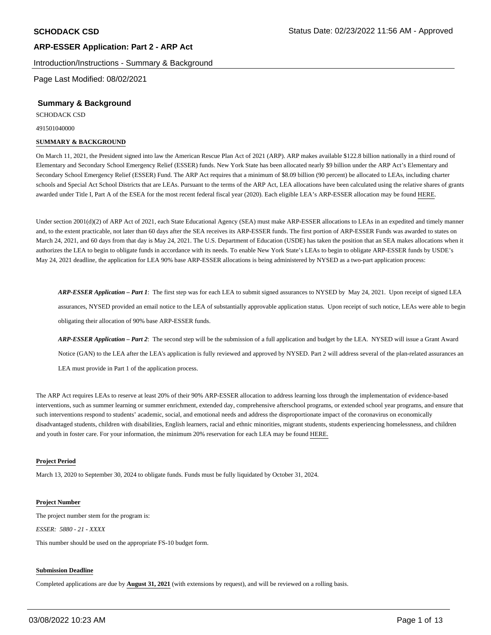Introduction/Instructions - Summary & Background

Page Last Modified: 08/02/2021

#### **Summary & Background**

SCHODACK CSD

491501040000

#### **SUMMARY & BACKGROUND**

On March 11, 2021, the President signed into law the American Rescue Plan Act of 2021 (ARP). ARP makes available \$122.8 billion nationally in a third round of Elementary and Secondary School Emergency Relief (ESSER) funds. New York State has been allocated nearly \$9 billion under the ARP Act's Elementary and Secondary School Emergency Relief (ESSER) Fund. The ARP Act requires that a minimum of \$8.09 billion (90 percent) be allocated to LEAs, including charter schools and Special Act School Districts that are LEAs. Pursuant to the terms of the ARP Act, LEA allocations have been calculated using the relative shares of grants awarded under Title I, Part A of the ESEA for the most recent federal fiscal year (2020). Each eligible LEA's ARP-ESSER allocation may be found HERE.

Under section 2001(d)(2) of ARP Act of 2021, each State Educational Agency (SEA) must make ARP-ESSER allocations to LEAs in an expedited and timely manner and, to the extent practicable, not later than 60 days after the SEA receives its ARP-ESSER funds. The first portion of ARP-ESSER Funds was awarded to states on March 24, 2021, and 60 days from that day is May 24, 2021. The U.S. Department of Education (USDE) has taken the position that an SEA makes allocations when it authorizes the LEA to begin to obligate funds in accordance with its needs. To enable New York State's LEAs to begin to obligate ARP-ESSER funds by USDE's May 24, 2021 deadline, the application for LEA 90% base ARP-ESSER allocations is being administered by NYSED as a two-part application process:

*ARP-ESSER Application – Part 1*: The first step was for each LEA to submit signed assurances to NYSED by May 24, 2021. Upon receipt of signed LEA assurances, NYSED provided an email notice to the LEA of substantially approvable application status. Upon receipt of such notice, LEAs were able to begin obligating their allocation of 90% base ARP-ESSER funds.

*ARP-ESSER Application – Part 2*: The second step will be the submission of a full application and budget by the LEA. NYSED will issue a Grant Award Notice (GAN) to the LEA after the LEA's application is fully reviewed and approved by NYSED. Part 2 will address several of the plan-related assurances an LEA must provide in Part 1 of the application process.

The ARP Act requires LEAs to reserve at least 20% of their 90% ARP-ESSER allocation to address learning loss through the implementation of evidence-based interventions, such as summer learning or summer enrichment, extended day, comprehensive afterschool programs, or extended school year programs, and ensure that such interventions respond to students' academic, social, and emotional needs and address the disproportionate impact of the coronavirus on economically disadvantaged students, children with disabilities, English learners, racial and ethnic minorities, migrant students, students experiencing homelessness, and children and youth in foster care. For your information, the minimum 20% reservation for each LEA may be found HERE.

#### **Project Period**

March 13, 2020 to September 30, 2024 to obligate funds. Funds must be fully liquidated by October 31, 2024.

#### **Project Number**

The project number stem for the program is:

*ESSER: 5880 - 21 - XXXX* 

This number should be used on the appropriate FS-10 budget form.

#### **Submission Deadline**

Completed applications are due by **August 31, 2021** (with extensions by request), and will be reviewed on a rolling basis.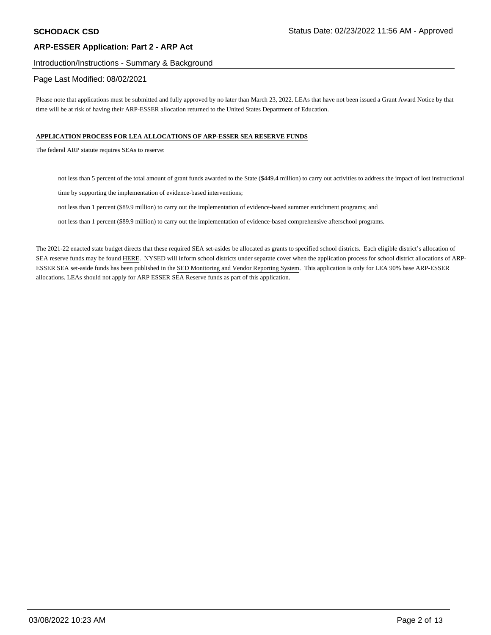# Introduction/Instructions - Summary & Background

## Page Last Modified: 08/02/2021

Please note that applications must be submitted and fully approved by no later than March 23, 2022. LEAs that have not been issued a Grant Award Notice by that time will be at risk of having their ARP-ESSER allocation returned to the United States Department of Education.

#### **APPLICATION PROCESS FOR LEA ALLOCATIONS OF ARP-ESSER SEA RESERVE FUNDS**

The federal ARP statute requires SEAs to reserve:

not less than 5 percent of the total amount of grant funds awarded to the State (\$449.4 million) to carry out activities to address the impact of lost instructional

time by supporting the implementation of evidence-based interventions;

not less than 1 percent (\$89.9 million) to carry out the implementation of evidence-based summer enrichment programs; and

not less than 1 percent (\$89.9 million) to carry out the implementation of evidence-based comprehensive afterschool programs.

The 2021-22 enacted state budget directs that these required SEA set-asides be allocated as grants to specified school districts. Each eligible district's allocation of SEA reserve funds may be found HERE. NYSED will inform school districts under separate cover when the application process for school district allocations of ARP-ESSER SEA set-aside funds has been published in the SED Monitoring and Vendor Reporting System. This application is only for LEA 90% base ARP-ESSER allocations. LEAs should not apply for ARP ESSER SEA Reserve funds as part of this application.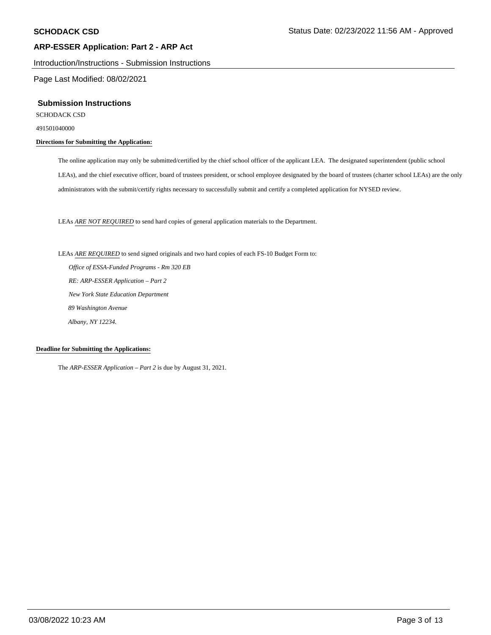Introduction/Instructions - Submission Instructions

Page Last Modified: 08/02/2021

#### **Submission Instructions**

SCHODACK CSD

491501040000

# **Directions for Submitting the Application:**

The online application may only be submitted/certified by the chief school officer of the applicant LEA. The designated superintendent (public school LEAs), and the chief executive officer, board of trustees president, or school employee designated by the board of trustees (charter school LEAs) are the only administrators with the submit/certify rights necessary to successfully submit and certify a completed application for NYSED review.

LEAs *ARE NOT REQUIRED* to send hard copies of general application materials to the Department.

#### LEAs *ARE REQUIRED* to send signed originals and two hard copies of each FS-10 Budget Form to:

 *Office of ESSA-Funded Programs - Rm 320 EB RE: ARP-ESSER Application – Part 2 New York State Education Department 89 Washington Avenue Albany, NY 12234.* 

#### **Deadline for Submitting the Applications:**

The *ARP-ESSER Application – Part 2* is due by August 31, 2021.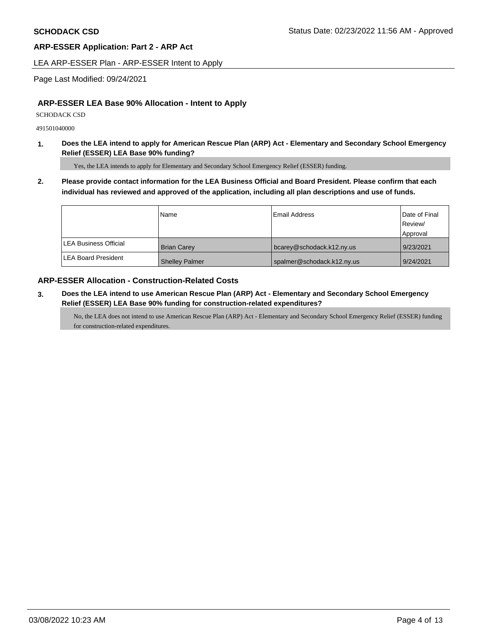LEA ARP-ESSER Plan - ARP-ESSER Intent to Apply

Page Last Modified: 09/24/2021

# **ARP-ESSER LEA Base 90% Allocation - Intent to Apply**

SCHODACK CSD

491501040000

**1. Does the LEA intend to apply for American Rescue Plan (ARP) Act - Elementary and Secondary School Emergency Relief (ESSER) LEA Base 90% funding?** 

Yes, the LEA intends to apply for Elementary and Secondary School Emergency Relief (ESSER) funding.

**2. Please provide contact information for the LEA Business Official and Board President. Please confirm that each individual has reviewed and approved of the application, including all plan descriptions and use of funds.** 

|                       | Name                  | <b>Email Address</b>       | Date of Final<br>Review/<br>Approval |
|-----------------------|-----------------------|----------------------------|--------------------------------------|
| LEA Business Official | <b>Brian Carev</b>    | bcarey@schodack.k12.ny.us  | 9/23/2021                            |
| LEA Board President   | <b>Shelley Palmer</b> | spalmer@schodack.k12.ny.us | 9/24/2021                            |

# **ARP-ESSER Allocation - Construction-Related Costs**

**3. Does the LEA intend to use American Rescue Plan (ARP) Act - Elementary and Secondary School Emergency Relief (ESSER) LEA Base 90% funding for construction-related expenditures?** 

No, the LEA does not intend to use American Rescue Plan (ARP) Act - Elementary and Secondary School Emergency Relief (ESSER) funding for construction-related expenditures.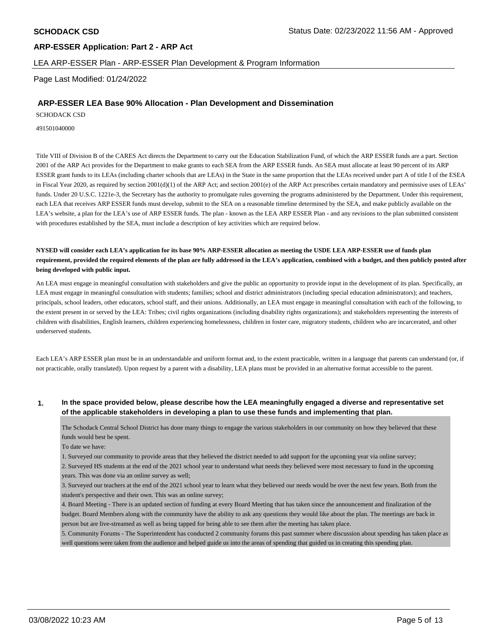LEA ARP-ESSER Plan - ARP-ESSER Plan Development & Program Information

Page Last Modified: 01/24/2022

### **ARP-ESSER LEA Base 90% Allocation - Plan Development and Dissemination**

SCHODACK CSD

491501040000

Title VIII of Division B of the CARES Act directs the Department to carry out the Education Stabilization Fund, of which the ARP ESSER funds are a part. Section 2001 of the ARP Act provides for the Department to make grants to each SEA from the ARP ESSER funds. An SEA must allocate at least 90 percent of its ARP ESSER grant funds to its LEAs (including charter schools that are LEAs) in the State in the same proportion that the LEAs received under part A of title I of the ESEA in Fiscal Year 2020, as required by section 2001(d)(1) of the ARP Act; and section 2001(e) of the ARP Act prescribes certain mandatory and permissive uses of LEAs' funds. Under 20 U.S.C. 1221e-3, the Secretary has the authority to promulgate rules governing the programs administered by the Department. Under this requirement, each LEA that receives ARP ESSER funds must develop, submit to the SEA on a reasonable timeline determined by the SEA, and make publicly available on the LEA's website, a plan for the LEA's use of ARP ESSER funds. The plan - known as the LEA ARP ESSER Plan - and any revisions to the plan submitted consistent with procedures established by the SEA, must include a description of key activities which are required below.

**NYSED will consider each LEA's application for its base 90% ARP-ESSER allocation as meeting the USDE LEA ARP-ESSER use of funds plan requirement, provided the required elements of the plan are fully addressed in the LEA's application, combined with a budget, and then publicly posted after being developed with public input.** 

An LEA must engage in meaningful consultation with stakeholders and give the public an opportunity to provide input in the development of its plan. Specifically, an LEA must engage in meaningful consultation with students; families; school and district administrators (including special education administrators); and teachers, principals, school leaders, other educators, school staff, and their unions. Additionally, an LEA must engage in meaningful consultation with each of the following, to the extent present in or served by the LEA: Tribes; civil rights organizations (including disability rights organizations); and stakeholders representing the interests of children with disabilities, English learners, children experiencing homelessness, children in foster care, migratory students, children who are incarcerated, and other underserved students.

Each LEA's ARP ESSER plan must be in an understandable and uniform format and, to the extent practicable, written in a language that parents can understand (or, if not practicable, orally translated). Upon request by a parent with a disability, LEA plans must be provided in an alternative format accessible to the parent.

# **1. In the space provided below, please describe how the LEA meaningfully engaged a diverse and representative set of the applicable stakeholders in developing a plan to use these funds and implementing that plan.**

The Schodack Central School District has done many things to engage the various stakeholders in our community on how they believed that these funds would best be spent.

To date we have:

1. Surveyed our community to provide areas that they believed the district needed to add support for the upcoming year via online survey;

2. Surveyed HS students at the end of the 2021 school year to understand what needs they believed were most necessary to fund in the upcoming years. This was done via an online survey as well;

3. Surveyed our teachers at the end of the 2021 school year to learn what they believed our needs would be over the next few years. Both from the student's perspective and their own. This was an online survey;

4. Board Meeting - There is an updated section of funding at every Board Meeting that has taken since the announcement and finalization of the budget. Board Members along with the community have the ability to ask any questions they would like about the plan. The meetings are back in person but are live-streamed as well as being tapped for being able to see them after the meeting has taken place.

5. Community Forums - The Superintendent has conducted 2 community forums this past summer where discussion about spending has taken place as well questions were taken from the audience and helped guide us into the areas of spending that guided us in creating this spending plan.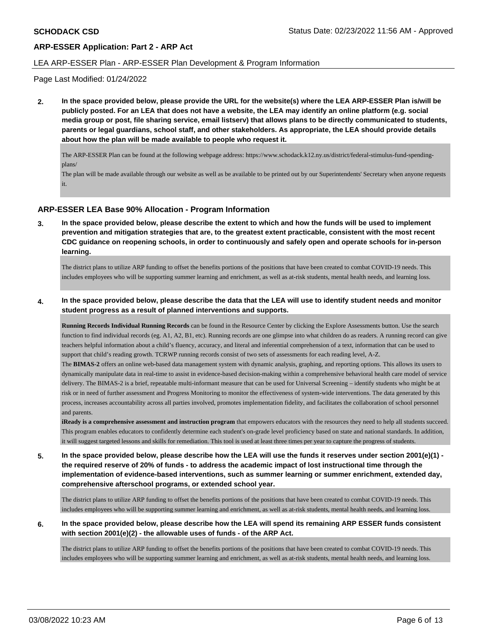#### LEA ARP-ESSER Plan - ARP-ESSER Plan Development & Program Information

Page Last Modified: 01/24/2022

**2. In the space provided below, please provide the URL for the website(s) where the LEA ARP-ESSER Plan is/will be publicly posted. For an LEA that does not have a website, the LEA may identify an online platform (e.g. social media group or post, file sharing service, email listserv) that allows plans to be directly communicated to students, parents or legal guardians, school staff, and other stakeholders. As appropriate, the LEA should provide details about how the plan will be made available to people who request it.** 

The ARP-ESSER Plan can be found at the following webpage address:<https://www.schodack.k12.ny.us/district/federal-stimulus-fund-spending>plans/

The plan will be made available through our website as well as be available to be printed out by our Superintendents' Secretary when anyone requests it.

# **ARP-ESSER LEA Base 90% Allocation - Program Information**

**3. In the space provided below, please describe the extent to which and how the funds will be used to implement prevention and mitigation strategies that are, to the greatest extent practicable, consistent with the most recent CDC guidance on reopening schools, in order to continuously and safely open and operate schools for in-person learning.** 

The district plans to utilize ARP funding to offset the benefits portions of the positions that have been created to combat COVID-19 needs. This includes employees who will be supporting summer learning and enrichment, as well as at-risk students, mental health needs, and learning loss.

### **4. In the space provided below, please describe the data that the LEA will use to identify student needs and monitor student progress as a result of planned interventions and supports.**

**Running Records Individual Running Records** can be found in the Resource Center by clicking the Explore Assessments button. Use the search function to find individual records (eg. A1, A2, B1, etc). Running records are one glimpse into what children do as readers. A running record can give teachers helpful information about a child's fluency, accuracy, and literal and inferential comprehension of a text, information that can be used to support that child's reading growth. TCRWP running records consist of two sets of assessments for each reading level, A-Z.

The **BIMAS-2** offers an online web-based data management system with dynamic analysis, graphing, and reporting options. This allows its users to dynamically manipulate data in real-time to assist in evidence-based decision-making within a comprehensive behavioral health care model of service delivery. The BIMAS-2 is a brief, repeatable multi-informant measure that can be used for Universal Screening – identify students who might be at risk or in need of further assessment and Progress Monitoring to monitor the effectiveness of system-wide interventions. The data generated by this process, increases accountability across all parties involved, promotes implementation fidelity, and facilitates the collaboration of school personnel and parents.

**iReady is a comprehensive assessment and instruction program** that empowers educators with the resources they need to help all students succeed. This program enables educators to confidently determine each student's on-grade level proficiency based on state and national standards. In addition, it will suggest targeted lessons and skills for remediation. This tool is used at least three times per year to capture the progress of students.

**5. In the space provided below, please describe how the LEA will use the funds it reserves under section 2001(e)(1) the required reserve of 20% of funds - to address the academic impact of lost instructional time through the implementation of evidence-based interventions, such as summer learning or summer enrichment, extended day, comprehensive afterschool programs, or extended school year.** 

The district plans to utilize ARP funding to offset the benefits portions of the positions that have been created to combat COVID-19 needs. This includes employees who will be supporting summer learning and enrichment, as well as at-risk students, mental health needs, and learning loss.

**6. In the space provided below, please describe how the LEA will spend its remaining ARP ESSER funds consistent with section 2001(e)(2) - the allowable uses of funds - of the ARP Act.** 

The district plans to utilize ARP funding to offset the benefits portions of the positions that have been created to combat COVID-19 needs. This includes employees who will be supporting summer learning and enrichment, as well as at-risk students, mental health needs, and learning loss.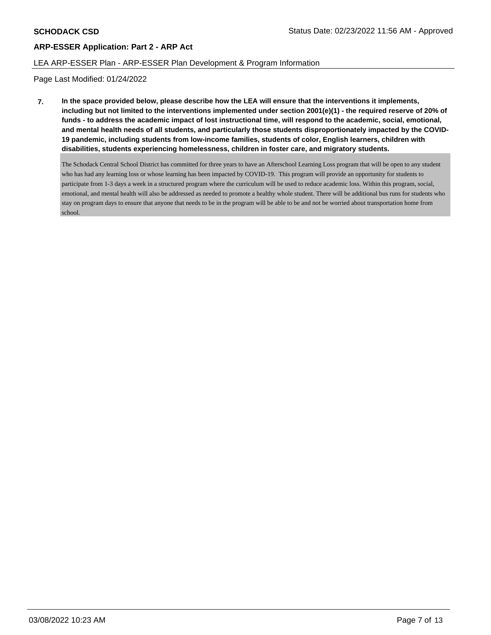# LEA ARP-ESSER Plan - ARP-ESSER Plan Development & Program Information

Page Last Modified: 01/24/2022

**7. In the space provided below, please describe how the LEA will ensure that the interventions it implements, including but not limited to the interventions implemented under section 2001(e)(1) - the required reserve of 20% of funds - to address the academic impact of lost instructional time, will respond to the academic, social, emotional, and mental health needs of all students, and particularly those students disproportionately impacted by the COVID-19 pandemic, including students from low-income families, students of color, English learners, children with disabilities, students experiencing homelessness, children in foster care, and migratory students.** 

The Schodack Central School District has committed for three years to have an Afterschool Learning Loss program that will be open to any student who has had any learning loss or whose learning has been impacted by COVID-19. This program will provide an opportunity for students to participate from 1-3 days a week in a structured program where the curriculum will be used to reduce academic loss. Within this program, social, emotional, and mental health will also be addressed as needed to promote a healthy whole student. There will be additional bus runs for students who stay on program days to ensure that anyone that needs to be in the program will be able to be and not be worried about transportation home from school.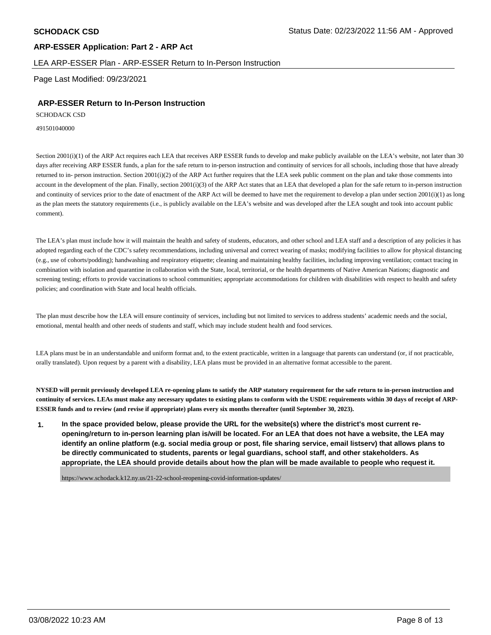#### LEA ARP-ESSER Plan - ARP-ESSER Return to In-Person Instruction

Page Last Modified: 09/23/2021

# **ARP-ESSER Return to In-Person Instruction**

SCHODACK CSD

491501040000

Section 2001(i)(1) of the ARP Act requires each LEA that receives ARP ESSER funds to develop and make publicly available on the LEA's website, not later than 30 days after receiving ARP ESSER funds, a plan for the safe return to in-person instruction and continuity of services for all schools, including those that have already returned to in- person instruction. Section 2001(i)(2) of the ARP Act further requires that the LEA seek public comment on the plan and take those comments into account in the development of the plan. Finally, section 2001(i)(3) of the ARP Act states that an LEA that developed a plan for the safe return to in-person instruction and continuity of services prior to the date of enactment of the ARP Act will be deemed to have met the requirement to develop a plan under section 2001(i)(1) as long as the plan meets the statutory requirements (i.e., is publicly available on the LEA's website and was developed after the LEA sought and took into account public comment).

The LEA's plan must include how it will maintain the health and safety of students, educators, and other school and LEA staff and a description of any policies it has adopted regarding each of the CDC's safety recommendations, including universal and correct wearing of masks; modifying facilities to allow for physical distancing (e.g., use of cohorts/podding); handwashing and respiratory etiquette; cleaning and maintaining healthy facilities, including improving ventilation; contact tracing in combination with isolation and quarantine in collaboration with the State, local, territorial, or the health departments of Native American Nations; diagnostic and screening testing; efforts to provide vaccinations to school communities; appropriate accommodations for children with disabilities with respect to health and safety policies; and coordination with State and local health officials.

The plan must describe how the LEA will ensure continuity of services, including but not limited to services to address students' academic needs and the social, emotional, mental health and other needs of students and staff, which may include student health and food services.

LEA plans must be in an understandable and uniform format and, to the extent practicable, written in a language that parents can understand (or, if not practicable, orally translated). Upon request by a parent with a disability, LEA plans must be provided in an alternative format accessible to the parent.

**NYSED will permit previously developed LEA re-opening plans to satisfy the ARP statutory requirement for the safe return to in-person instruction and continuity of services. LEAs must make any necessary updates to existing plans to conform with the USDE requirements within 30 days of receipt of ARP-ESSER funds and to review (and revise if appropriate) plans every six months thereafter (until September 30, 2023).** 

**1. In the space provided below, please provide the URL for the website(s) where the district's most current reopening/return to in-person learning plan is/will be located. For an LEA that does not have a website, the LEA may identify an online platform (e.g. social media group or post, file sharing service, email listserv) that allows plans to be directly communicated to students, parents or legal guardians, school staff, and other stakeholders. As appropriate, the LEA should provide details about how the plan will be made available to people who request it.** 

<https://www.schodack.k12.ny.us/21-22-school-reopening-covid-information-updates>/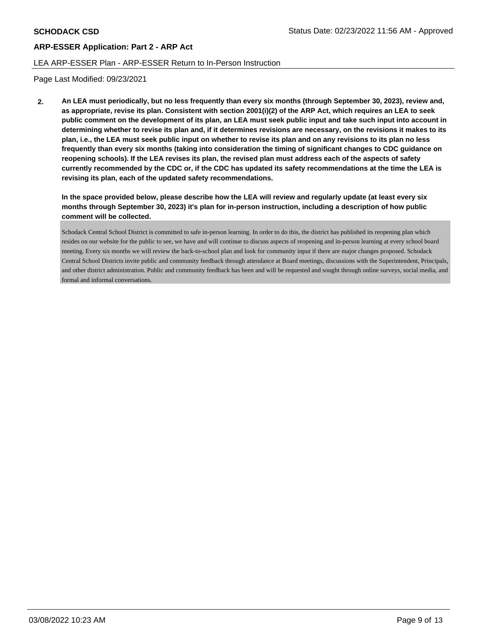## LEA ARP-ESSER Plan - ARP-ESSER Return to In-Person Instruction

Page Last Modified: 09/23/2021

**2. An LEA must periodically, but no less frequently than every six months (through September 30, 2023), review and, as appropriate, revise its plan. Consistent with section 2001(i)(2) of the ARP Act, which requires an LEA to seek public comment on the development of its plan, an LEA must seek public input and take such input into account in determining whether to revise its plan and, if it determines revisions are necessary, on the revisions it makes to its plan, i.e., the LEA must seek public input on whether to revise its plan and on any revisions to its plan no less frequently than every six months (taking into consideration the timing of significant changes to CDC guidance on reopening schools). If the LEA revises its plan, the revised plan must address each of the aspects of safety currently recommended by the CDC or, if the CDC has updated its safety recommendations at the time the LEA is revising its plan, each of the updated safety recommendations.** 

**In the space provided below, please describe how the LEA will review and regularly update (at least every six months through September 30, 2023) it's plan for in-person instruction, including a description of how public comment will be collected.** 

Schodack Central School District is committed to safe in-person learning. In order to do this, the district has published its reopening plan which resides on our website for the public to see, we have and will continue to discuss aspects of reopening and in-person learning at every school board meeting. Every six months we will review the back-to-school plan and look for community input if there are major changes proposed. Schodack Central School Districts invite public and community feedback through attendance at Board meetings, discussions with the Superintendent, Principals, and other district administration. Public and community feedback has been and will be requested and sought through online surveys, social media, and formal and informal conversations.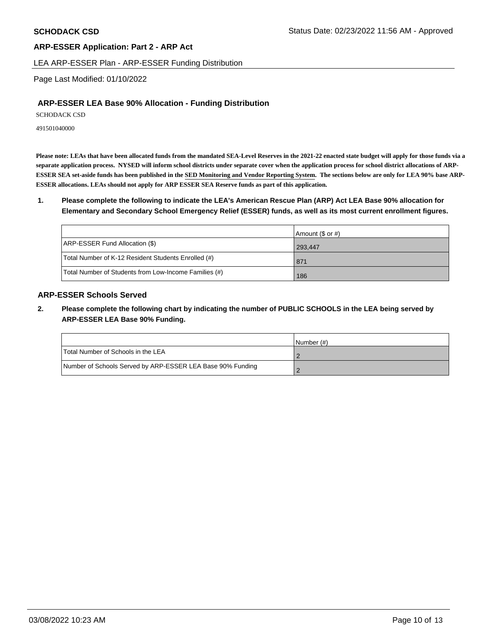LEA ARP-ESSER Plan - ARP-ESSER Funding Distribution

Page Last Modified: 01/10/2022

# **ARP-ESSER LEA Base 90% Allocation - Funding Distribution**

SCHODACK CSD

491501040000

**Please note: LEAs that have been allocated funds from the mandated SEA-Level Reserves in the 2021-22 enacted state budget will apply for those funds via a separate application process. NYSED will inform school districts under separate cover when the application process for school district allocations of ARP-ESSER SEA set-aside funds has been published in the SED Monitoring and Vendor Reporting System. The sections below are only for LEA 90% base ARP-ESSER allocations. LEAs should not apply for ARP ESSER SEA Reserve funds as part of this application.** 

**1. Please complete the following to indicate the LEA's American Rescue Plan (ARP) Act LEA Base 90% allocation for Elementary and Secondary School Emergency Relief (ESSER) funds, as well as its most current enrollment figures.** 

|                                                       | Amount $(\$$ or #) |
|-------------------------------------------------------|--------------------|
| ARP-ESSER Fund Allocation (\$)                        | 293.447            |
| Total Number of K-12 Resident Students Enrolled (#)   | 871                |
| Total Number of Students from Low-Income Families (#) | 186                |

# **ARP-ESSER Schools Served**

**2. Please complete the following chart by indicating the number of PUBLIC SCHOOLS in the LEA being served by ARP-ESSER LEA Base 90% Funding.** 

|                                                            | INumber (#) |
|------------------------------------------------------------|-------------|
| Total Number of Schools in the LEA                         |             |
| Number of Schools Served by ARP-ESSER LEA Base 90% Funding |             |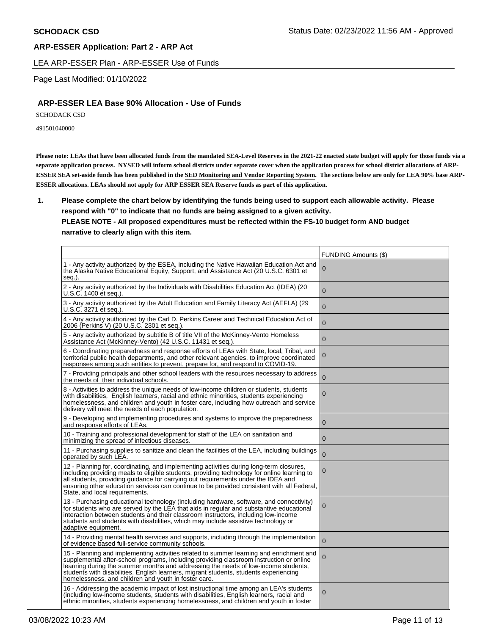LEA ARP-ESSER Plan - ARP-ESSER Use of Funds

Page Last Modified: 01/10/2022

# **ARP-ESSER LEA Base 90% Allocation - Use of Funds**

SCHODACK CSD

491501040000

**Please note: LEAs that have been allocated funds from the mandated SEA-Level Reserves in the 2021-22 enacted state budget will apply for those funds via a separate application process. NYSED will inform school districts under separate cover when the application process for school district allocations of ARP-ESSER SEA set-aside funds has been published in the SED Monitoring and Vendor Reporting System. The sections below are only for LEA 90% base ARP-ESSER allocations. LEAs should not apply for ARP ESSER SEA Reserve funds as part of this application.** 

**1. Please complete the chart below by identifying the funds being used to support each allowable activity. Please respond with "0" to indicate that no funds are being assigned to a given activity.** 

# **PLEASE NOTE - All proposed expenditures must be reflected within the FS-10 budget form AND budget narrative to clearly align with this item.**

|                                                                                                                                                                                                                                                                                                                                                                                                                           | <b>FUNDING Amounts (\$)</b> |
|---------------------------------------------------------------------------------------------------------------------------------------------------------------------------------------------------------------------------------------------------------------------------------------------------------------------------------------------------------------------------------------------------------------------------|-----------------------------|
| 1 - Any activity authorized by the ESEA, including the Native Hawaiian Education Act and<br>the Alaska Native Educational Equity, Support, and Assistance Act (20 U.S.C. 6301 et<br>seq.).                                                                                                                                                                                                                                | 0                           |
| 2 - Any activity authorized by the Individuals with Disabilities Education Act (IDEA) (20<br>U.S.C. 1400 et seq.).                                                                                                                                                                                                                                                                                                        | $\mathbf{0}$                |
| 3 - Any activity authorized by the Adult Education and Family Literacy Act (AEFLA) (29<br>U.S.C. 3271 et seq.).                                                                                                                                                                                                                                                                                                           | $\mathbf 0$                 |
| 4 - Any activity authorized by the Carl D. Perkins Career and Technical Education Act of<br>2006 (Perkins V) (20 U.S.C. 2301 et seq.).                                                                                                                                                                                                                                                                                    | $\mathbf{0}$                |
| 5 - Any activity authorized by subtitle B of title VII of the McKinney-Vento Homeless<br>Assistance Act (McKinney-Vento) (42 U.S.C. 11431 et seq.).                                                                                                                                                                                                                                                                       | $\mathbf 0$                 |
| 6 - Coordinating preparedness and response efforts of LEAs with State, local, Tribal, and<br>territorial public health departments, and other relevant agencies, to improve coordinated<br>responses among such entities to prevent, prepare for, and respond to COVID-19.                                                                                                                                                | 0                           |
| 7 - Providing principals and other school leaders with the resources necessary to address<br>the needs of their individual schools.                                                                                                                                                                                                                                                                                       | $\Omega$                    |
| 8 - Activities to address the unique needs of low-income children or students, students<br>with disabilities, English learners, racial and ethnic minorities, students experiencing<br>homelessness, and children and youth in foster care, including how outreach and service<br>delivery will meet the needs of each population.                                                                                        | 0                           |
| 9 - Developing and implementing procedures and systems to improve the preparedness<br>and response efforts of LEAs.                                                                                                                                                                                                                                                                                                       | $\overline{0}$              |
| 10 - Training and professional development for staff of the LEA on sanitation and<br>minimizing the spread of infectious diseases.                                                                                                                                                                                                                                                                                        | 0                           |
| 11 - Purchasing supplies to sanitize and clean the facilities of the LEA, including buildings<br>operated by such LEA.                                                                                                                                                                                                                                                                                                    | $\Omega$                    |
| 12 - Planning for, coordinating, and implementing activities during long-term closures,<br>including providing meals to eligible students, providing technology for online learning to<br>all students, providing guidance for carrying out requirements under the IDEA and<br>ensuring other education services can continue to be provided consistent with all Federal,<br>State, and local requirements.               | 0                           |
| 13 - Purchasing educational technology (including hardware, software, and connectivity)<br>for students who are served by the LEA that aids in regular and substantive educational<br>interaction between students and their classroom instructors, including low-income<br>students and students with disabilities, which may include assistive technology or<br>adaptive equipment.                                     | $\mathbf 0$                 |
| 14 - Providing mental health services and supports, including through the implementation<br>of evidence based full-service community schools.                                                                                                                                                                                                                                                                             | $\Omega$                    |
| 15 - Planning and implementing activities related to summer learning and enrichment and<br>supplemental after-school programs, including providing classroom instruction or online<br>learning during the summer months and addressing the needs of low-income students,<br>students with disabilities, English learners, migrant students, students experiencing<br>homelessness, and children and youth in foster care. | 0                           |
| 16 - Addressing the academic impact of lost instructional time among an LEA's students<br>(including low-income students, students with disabilities, English learners, racial and<br>ethnic minorities, students experiencing homelessness, and children and youth in foster                                                                                                                                             | $\mathbf 0$                 |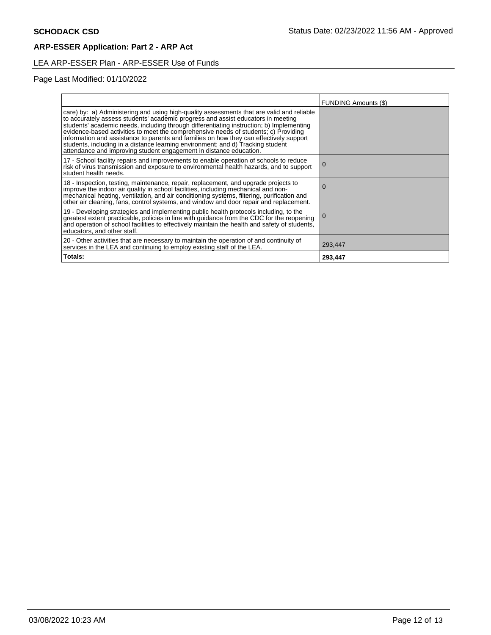# LEA ARP-ESSER Plan - ARP-ESSER Use of Funds

# Page Last Modified: 01/10/2022

|                                                                                                                                                                                                                                                                                                                                                                                                                                                                                                                                                                                                                     | <b>FUNDING Amounts (\$)</b> |
|---------------------------------------------------------------------------------------------------------------------------------------------------------------------------------------------------------------------------------------------------------------------------------------------------------------------------------------------------------------------------------------------------------------------------------------------------------------------------------------------------------------------------------------------------------------------------------------------------------------------|-----------------------------|
| care) by: a) Administering and using high-quality assessments that are valid and reliable<br>to accurately assess students' academic progress and assist educators in meeting<br>students' academic needs, including through differentiating instruction; b) Implementing<br>evidence-based activities to meet the comprehensive needs of students; c) Providing<br>information and assistance to parents and families on how they can effectively support<br>students, including in a distance learning environment; and d) Tracking student<br>attendance and improving student engagement in distance education. |                             |
| 17 - School facility repairs and improvements to enable operation of schools to reduce<br>risk of virus transmission and exposure to environmental health hazards, and to support<br>student health needs.                                                                                                                                                                                                                                                                                                                                                                                                          | $\Omega$                    |
| 18 - Inspection, testing, maintenance, repair, replacement, and upgrade projects to improve the indoor air quality in school facilities, including mechanical and non-<br>mechanical heating, ventilation, and air conditioning systems, filtering, purification and<br>other air cleaning, fans, control systems, and window and door repair and replacement.                                                                                                                                                                                                                                                      |                             |
| 19 - Developing strategies and implementing public health protocols including, to the<br>greatest extent practicable, policies in line with guidance from the CDC for the reopening<br>and operation of school facilities to effectively maintain the health and safety of students,<br>educators, and other staff.                                                                                                                                                                                                                                                                                                 |                             |
| 20 - Other activities that are necessary to maintain the operation of and continuity of<br>services in the LEA and continuing to employ existing staff of the LEA.                                                                                                                                                                                                                                                                                                                                                                                                                                                  | 293,447                     |
| Totals:                                                                                                                                                                                                                                                                                                                                                                                                                                                                                                                                                                                                             | 293,447                     |